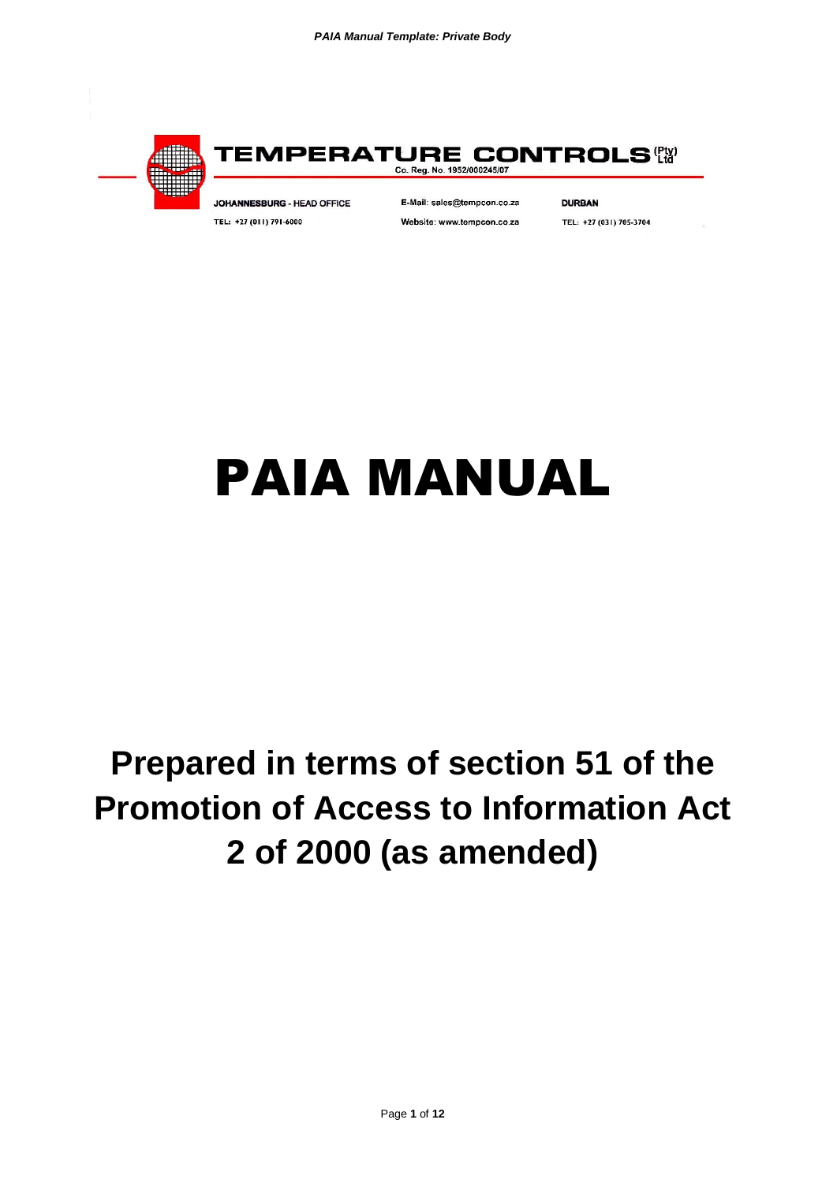

TEMPERATURE CONTROLS'& Co. Reg. No. 1952/000245/07

JOHANNESBURG - HEAD OFFICE TEL: +27 (011) 791-6000

E-Mail: sales@tempcon.co.za Website: www.tempcon.co.za **DURBAN** 

TEL: +27 (031) 705-3704

# PAIA MANUAL

# **Prepared in terms of section 51 of the Promotion of Access to Information Act 2 of 2000 (as amended)**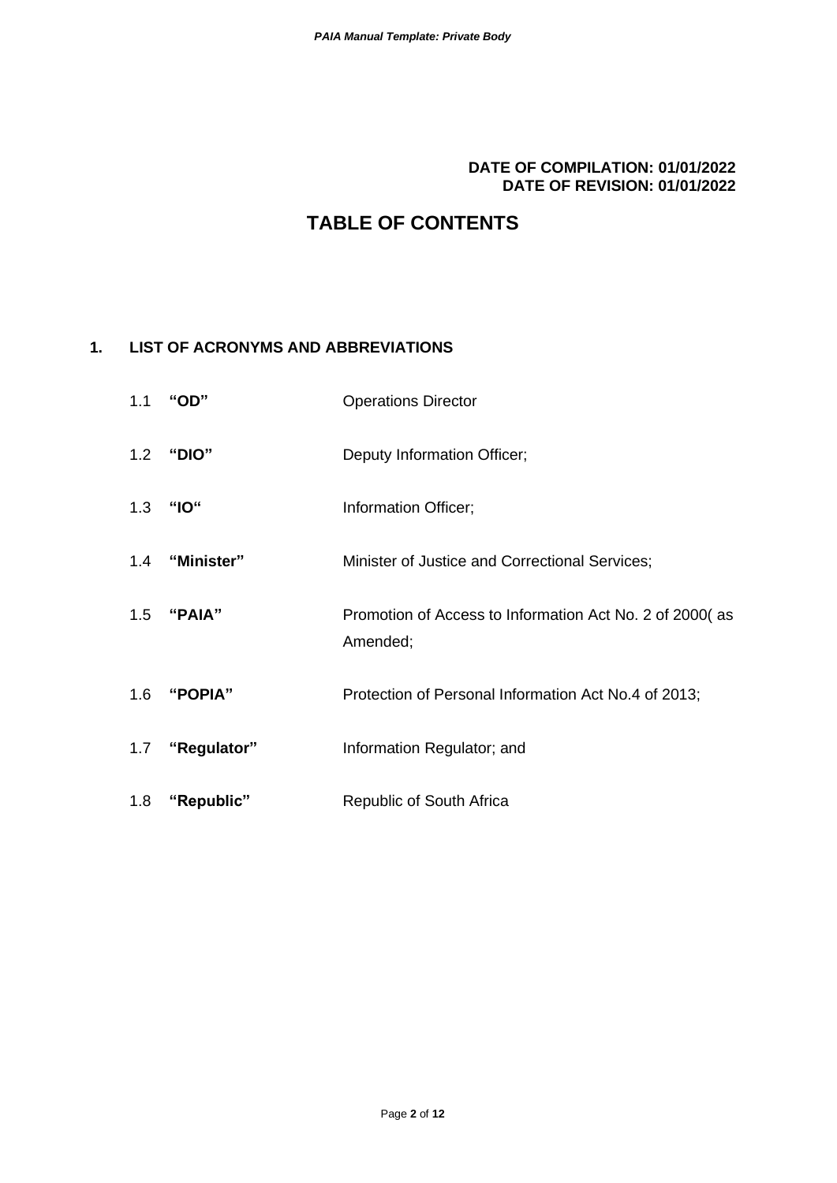#### **DATE OF COMPILATION: 01/01/2022 DATE OF REVISION: 01/01/2022**

# **TABLE OF CONTENTS**

#### **1. LIST OF ACRONYMS AND ABBREVIATIONS**

|     | 1.1 "OD"        | <b>Operations Director</b>                                          |
|-----|-----------------|---------------------------------------------------------------------|
|     | 1.2 "DIO"       | Deputy Information Officer;                                         |
|     | 1.3 "IO"        | Information Officer;                                                |
|     | 1.4 "Minister"  | Minister of Justice and Correctional Services;                      |
|     | 1.5 "PAIA"      | Promotion of Access to Information Act No. 2 of 2000(as<br>Amended; |
|     | 1.6 "POPIA"     | Protection of Personal Information Act No.4 of 2013;                |
|     | 1.7 "Regulator" | Information Regulator; and                                          |
| 1.8 | "Republic"      | Republic of South Africa                                            |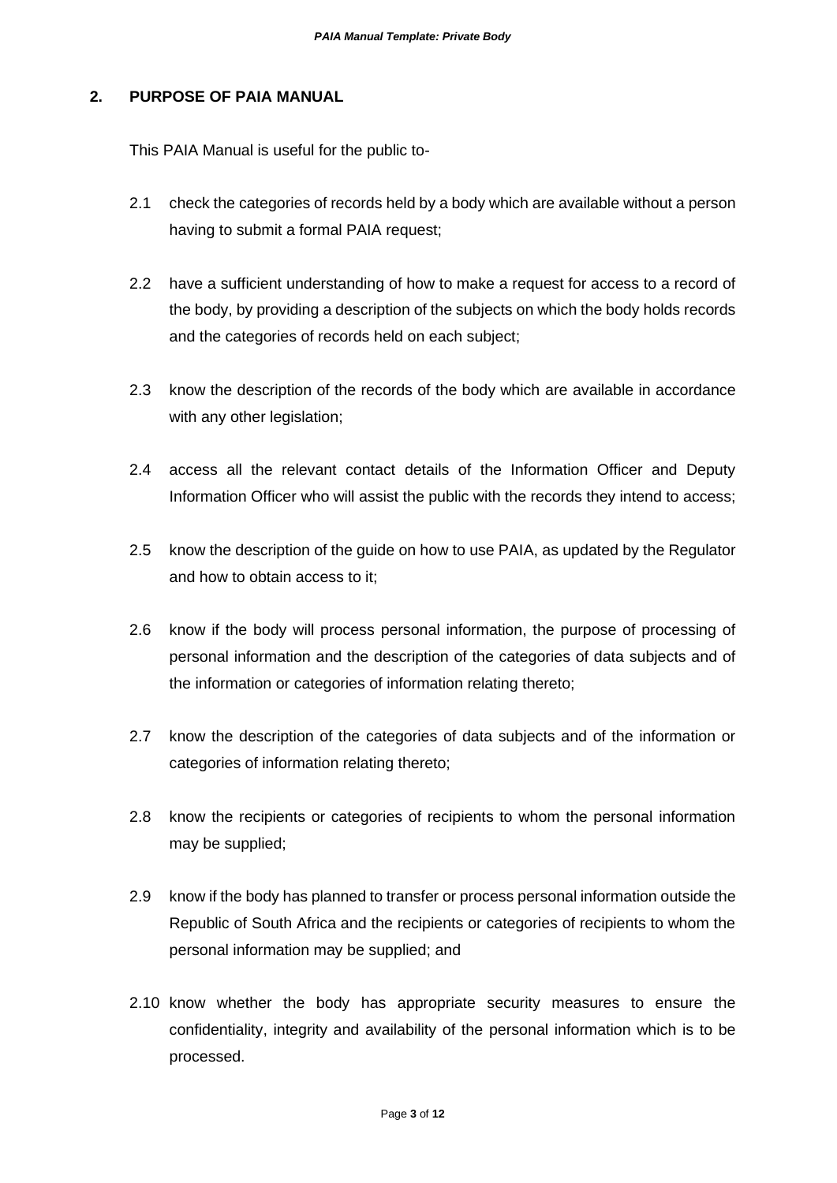#### **2. PURPOSE OF PAIA MANUAL**

This PAIA Manual is useful for the public to-

- 2.1 check the categories of records held by a body which are available without a person having to submit a formal PAIA request:
- 2.2 have a sufficient understanding of how to make a request for access to a record of the body, by providing a description of the subjects on which the body holds records and the categories of records held on each subject;
- 2.3 know the description of the records of the body which are available in accordance with any other legislation;
- 2.4 access all the relevant contact details of the Information Officer and Deputy Information Officer who will assist the public with the records they intend to access;
- 2.5 know the description of the guide on how to use PAIA, as updated by the Regulator and how to obtain access to it;
- 2.6 know if the body will process personal information, the purpose of processing of personal information and the description of the categories of data subjects and of the information or categories of information relating thereto;
- 2.7 know the description of the categories of data subjects and of the information or categories of information relating thereto;
- 2.8 know the recipients or categories of recipients to whom the personal information may be supplied;
- 2.9 know if the body has planned to transfer or process personal information outside the Republic of South Africa and the recipients or categories of recipients to whom the personal information may be supplied; and
- 2.10 know whether the body has appropriate security measures to ensure the confidentiality, integrity and availability of the personal information which is to be processed.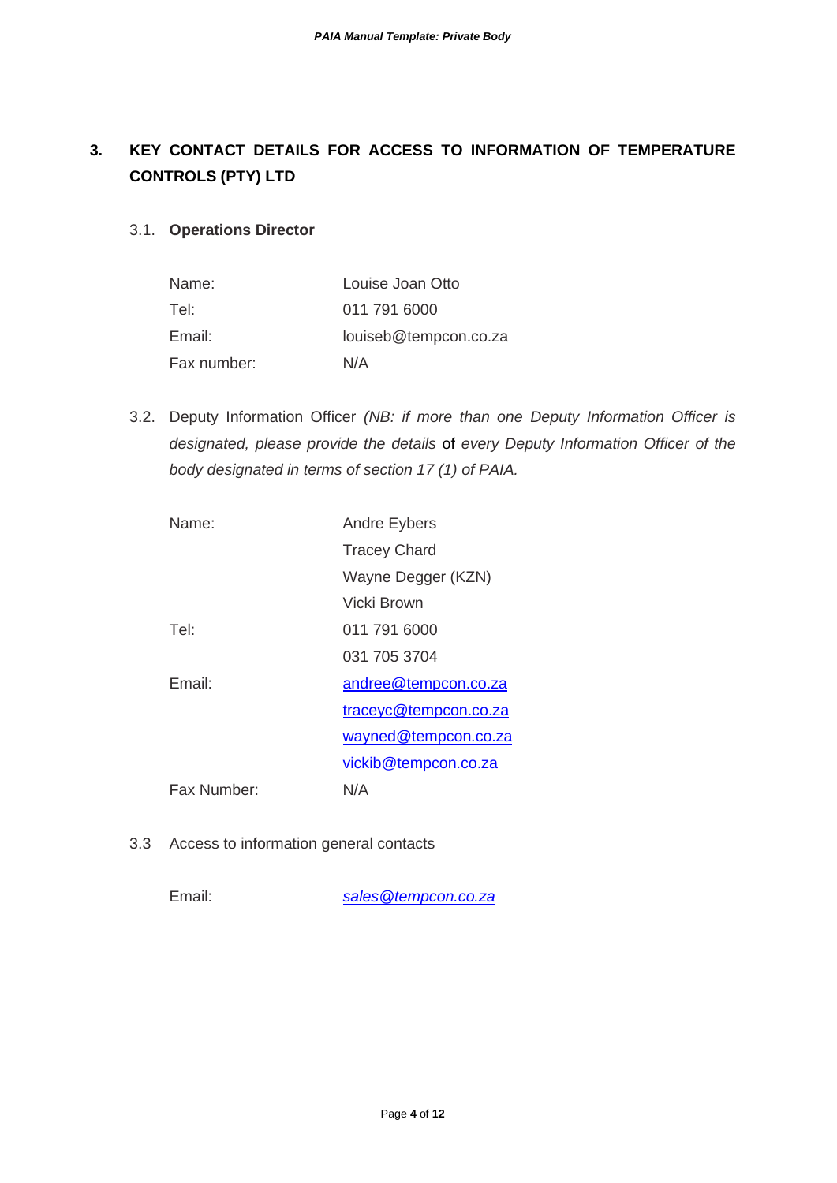### **3. KEY CONTACT DETAILS FOR ACCESS TO INFORMATION OF TEMPERATURE CONTROLS (PTY) LTD**

#### 3.1. **Operations Director**

| Name:       | Louise Joan Otto      |
|-------------|-----------------------|
| Tel:        | 011 791 6000          |
| Email:      | louiseb@tempcon.co.za |
| Fax number: | N/A                   |

3.2. Deputy Information Officer *(NB: if more than one Deputy Information Officer is designated, please provide the details* of *every Deputy Information Officer of the body designated in terms of section 17 (1) of PAIA.*

| Name <sup>.</sup> | <b>Andre Eybers</b>   |
|-------------------|-----------------------|
|                   | <b>Tracey Chard</b>   |
|                   | Wayne Degger (KZN)    |
|                   | Vicki Brown           |
| Tel               | 011 791 6000          |
|                   | 031 705 3704          |
| Fmail:            | andree@tempcon.co.za  |
|                   | traceyc@tempcon.co.za |
|                   | wayned@tempcon.co.za  |
|                   | vickib@tempcon.co.za  |
| Fax Number:       | N/A                   |
|                   |                       |

3.3 Access to information general contacts

Email: *[sales@tempcon.co.za](mailto:sales@tempcon.co.za)*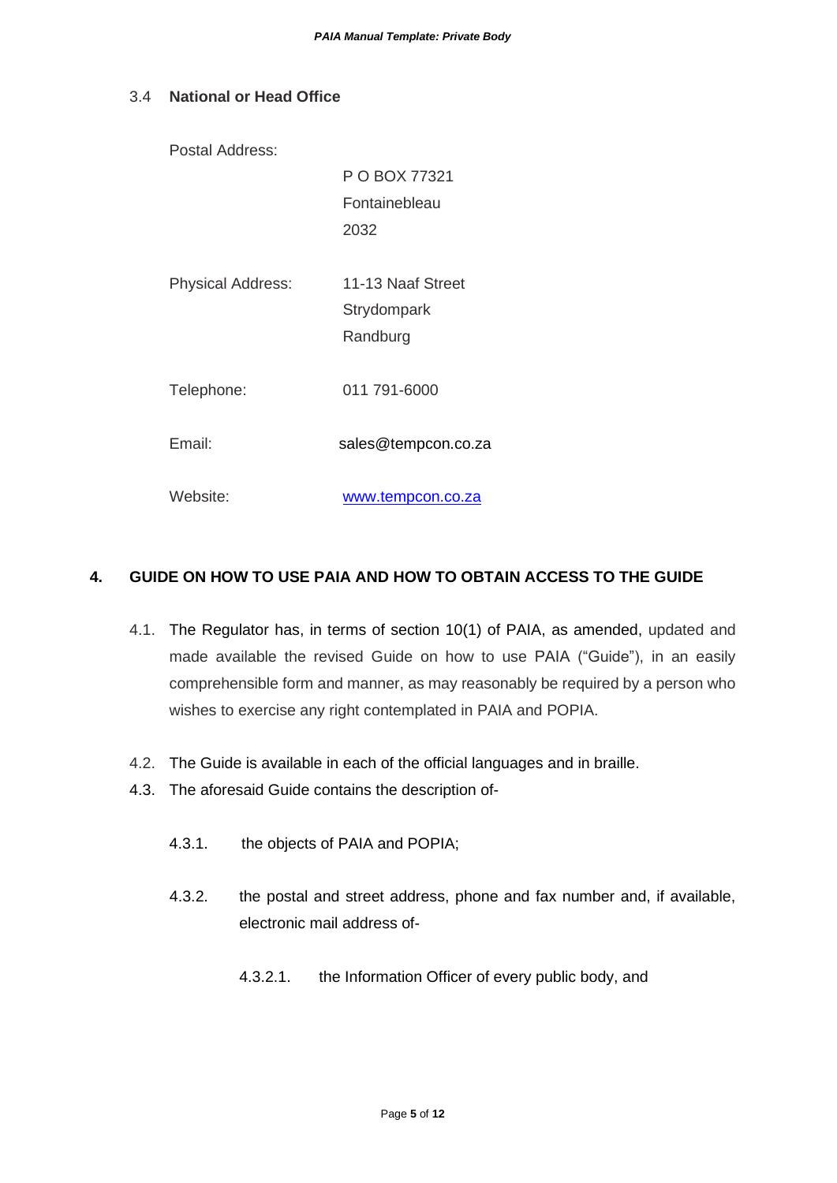#### 3.4 **National or Head Office**

Postal Address:

P O BOX 77321 Fontainebleau 2032

- Physical Address: 11-13 Naaf Street **Strydompark** Randburg
- Telephone: 011 791-6000

Email: sales@tempcon.co.za

Website: [www.tempcon.co.za](http://www.tempcon.co.za/)

#### **4. GUIDE ON HOW TO USE PAIA AND HOW TO OBTAIN ACCESS TO THE GUIDE**

- 4.1. The Regulator has, in terms of section 10(1) of PAIA, as amended, updated and made available the revised Guide on how to use PAIA ("Guide"), in an easily comprehensible form and manner, as may reasonably be required by a person who wishes to exercise any right contemplated in PAIA and POPIA.
- 4.2. The Guide is available in each of the official languages and in braille.
- 4.3. The aforesaid Guide contains the description of-
	- 4.3.1. the objects of PAIA and POPIA;
	- 4.3.2. the postal and street address, phone and fax number and, if available, electronic mail address of-
		- 4.3.2.1. the Information Officer of every public body, and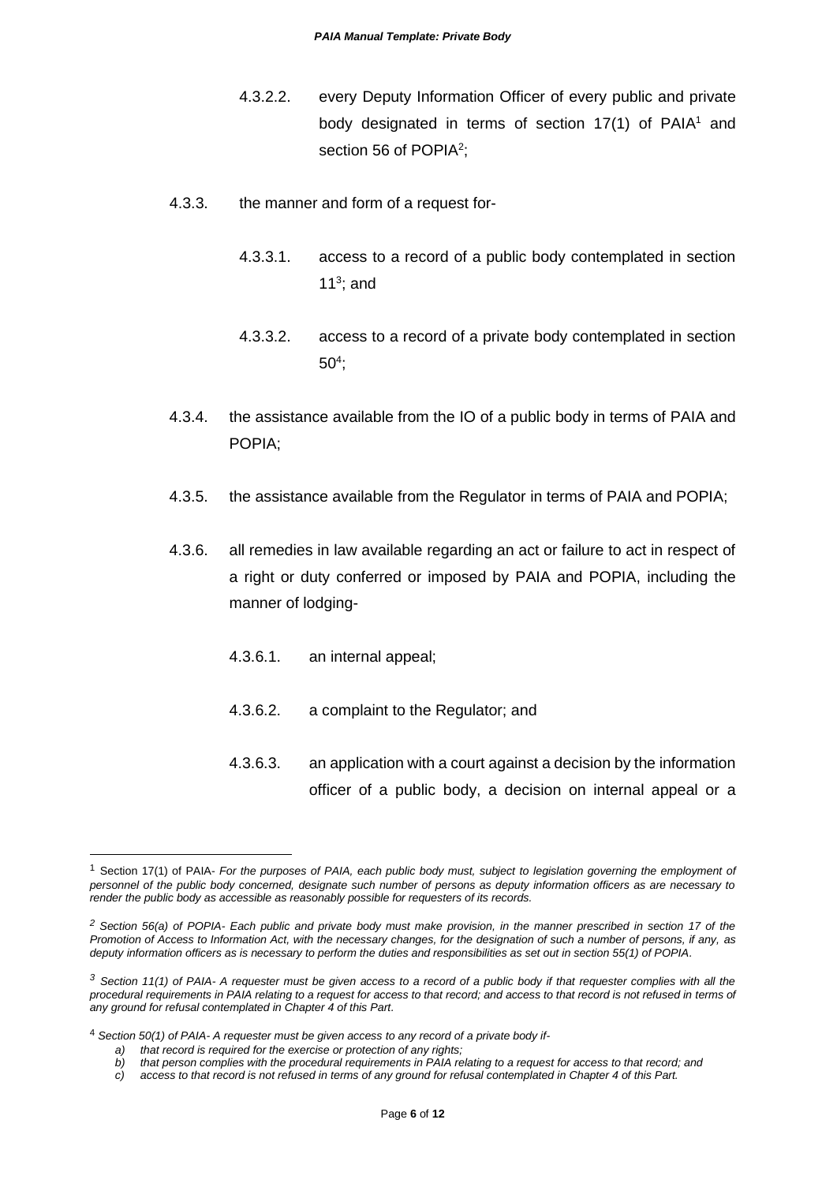- 4.3.2.2. every Deputy Information Officer of every public and private body designated in terms of section  $17(1)$  of PAIA<sup>1</sup> and section 56 of POPIA<sup>2</sup>;
- 4.3.3. the manner and form of a request for-
	- 4.3.3.1. access to a record of a public body contemplated in section 11 $3$ ; and
	- 4.3.3.2. access to a record of a private body contemplated in section 50<sup>4</sup> ;
- 4.3.4. the assistance available from the IO of a public body in terms of PAIA and POPIA;
- 4.3.5. the assistance available from the Regulator in terms of PAIA and POPIA;
- 4.3.6. all remedies in law available regarding an act or failure to act in respect of a right or duty conferred or imposed by PAIA and POPIA, including the manner of lodging-
	- 4.3.6.1. an internal appeal;
	- 4.3.6.2. a complaint to the Regulator; and
	- 4.3.6.3. an application with a court against a decision by the information officer of a public body, a decision on internal appeal or a

<sup>1</sup> Section 17(1) of PAIA- *For the purposes of PAIA, each public body must, subject to legislation governing the employment of personnel of the public body concerned, designate such number of persons as deputy information officers as are necessary to render the public body as accessible as reasonably possible for requesters of its records.*

*<sup>2</sup> Section 56(a) of POPIA- Each public and private body must make provision, in the manner prescribed in section 17 of the Promotion of Access to Information Act, with the necessary changes, for the designation of such a number of persons, if any, as deputy information officers as is necessary to perform the duties and responsibilities as set out in section 55(1) of POPIA.*

*<sup>3</sup> Section 11(1) of PAIA- A requester must be given access to a record of a public body if that requester complies with all the*  procedural requirements in PAIA relating to a request for access to that record; and access to that record is not refused in terms of *any ground for refusal contemplated in Chapter 4 of this Part.*

<sup>4</sup> *Section 50(1) of PAIA- A requester must be given access to any record of a private body if-*

*a) that record is required for the exercise or protection of any rights;*

*b) that person complies with the procedural requirements in PAIA relating to a request for access to that record; and*

*c) access to that record is not refused in terms of any ground for refusal contemplated in Chapter 4 of this Part.*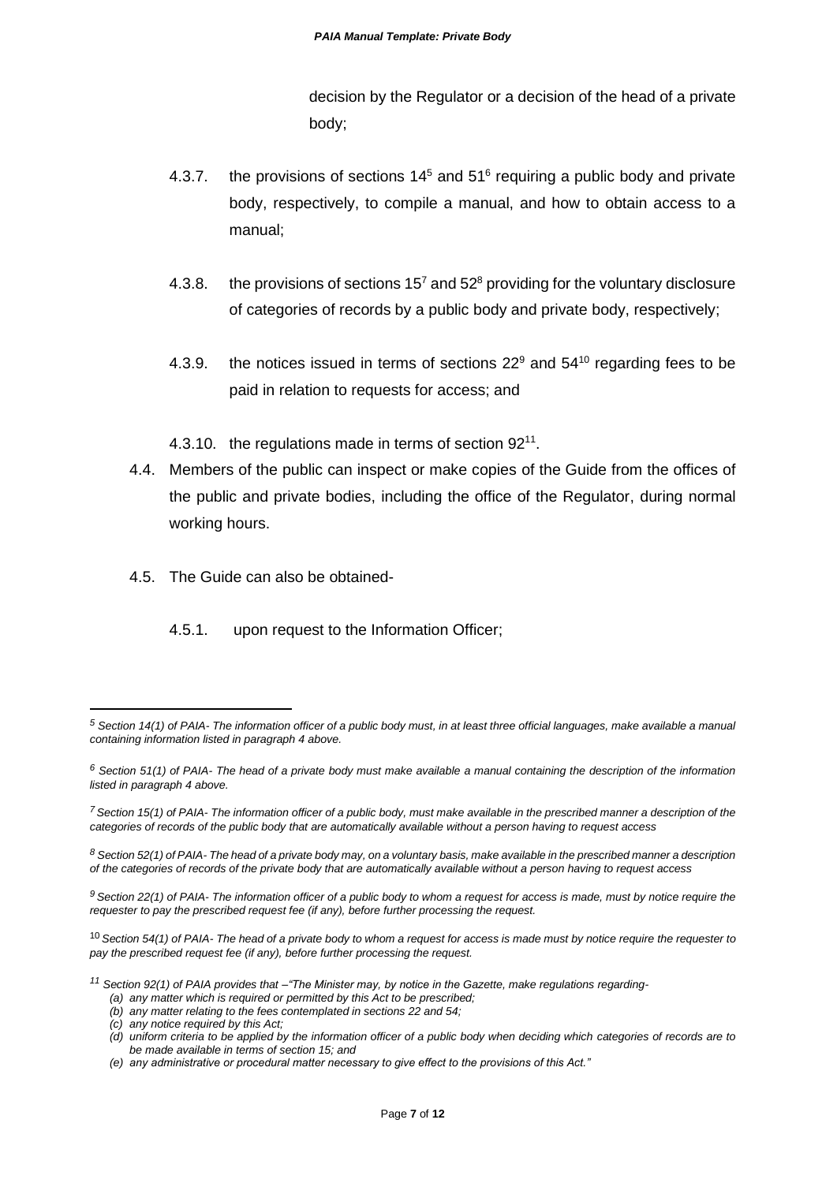decision by the Regulator or a decision of the head of a private body;

- 4.3.7. the provisions of sections  $14<sup>5</sup>$  and  $51<sup>6</sup>$  requiring a public body and private body, respectively, to compile a manual, and how to obtain access to a manual;
- 4.3.8. the provisions of sections  $15<sup>7</sup>$  and  $52<sup>8</sup>$  providing for the voluntary disclosure of categories of records by a public body and private body, respectively;
- 4.3.9. the notices issued in terms of sections  $22^9$  and  $54^{10}$  regarding fees to be paid in relation to requests for access; and
- 4.3.10. the regulations made in terms of section 92<sup>11</sup>.
- 4.4. Members of the public can inspect or make copies of the Guide from the offices of the public and private bodies, including the office of the Regulator, during normal working hours.
- 4.5. The Guide can also be obtained-
	- 4.5.1. upon request to the Information Officer;

*(c) any notice required by this Act;*

*<sup>5</sup> Section 14(1) of PAIA- The information officer of a public body must, in at least three official languages, make available a manual containing information listed in paragraph 4 above.*

*<sup>6</sup> Section 51(1) of PAIA- The head of a private body must make available a manual containing the description of the information listed in paragraph 4 above.*

*<sup>7</sup>Section 15(1) of PAIA- The information officer of a public body, must make available in the prescribed manner a description of the categories of records of the public body that are automatically available without a person having to request access*

*<sup>8</sup> Section 52(1) of PAIA- The head of a private body may, on a voluntary basis, make available in the prescribed manner a description of the categories of records of the private body that are automatically available without a person having to request access*

*<sup>9</sup> Section 22(1) of PAIA- The information officer of a public body to whom a request for access is made, must by notice require the requester to pay the prescribed request fee (if any), before further processing the request.*

<sup>10</sup> *Section 54(1) of PAIA- The head of a private body to whom a request for access is made must by notice require the requester to pay the prescribed request fee (if any), before further processing the request.*

*<sup>11</sup> Section 92(1) of PAIA provides that –"The Minister may, by notice in the Gazette, make regulations regarding-*

*<sup>(</sup>a) any matter which is required or permitted by this Act to be prescribed;*

*<sup>(</sup>b) any matter relating to the fees contemplated in sections 22 and 54;*

*<sup>(</sup>d) uniform criteria to be applied by the information officer of a public body when deciding which categories of records are to be made available in terms of section 15; and*

*<sup>(</sup>e) any administrative or procedural matter necessary to give effect to the provisions of this Act."*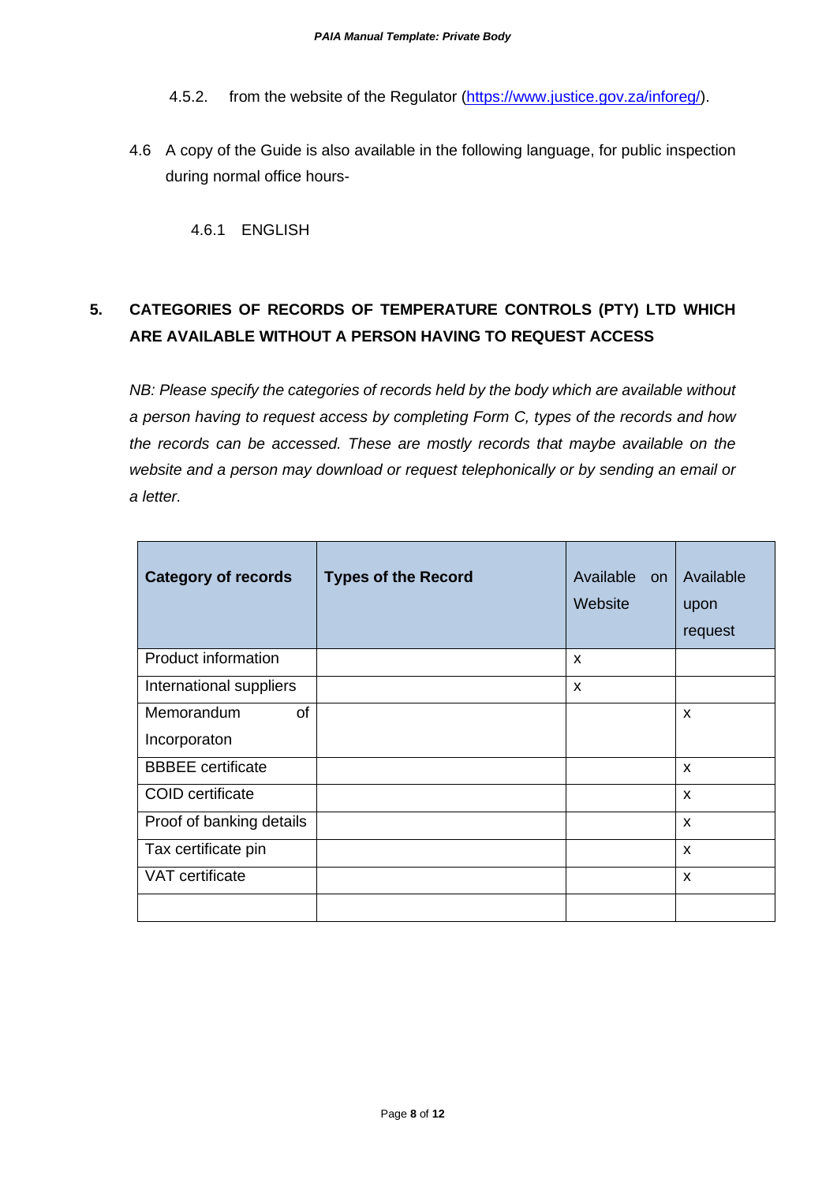- 4.5.2. from the website of the Regulator [\(https://www.justice.gov.za/inforeg/\)](https://www.justice.gov.za/inforeg/).
- 4.6 A copy of the Guide is also available in the following language, for public inspection during normal office hours-

4.6.1 ENGLISH

# **5. CATEGORIES OF RECORDS OF TEMPERATURE CONTROLS (PTY) LTD WHICH ARE AVAILABLE WITHOUT A PERSON HAVING TO REQUEST ACCESS**

*NB: Please specify the categories of records held by the body which are available without a person having to request access by completing Form C, types of the records and how the records can be accessed. These are mostly records that maybe available on the website and a person may download or request telephonically or by sending an email or a letter.* 

| <b>Category of records</b>       | <b>Types of the Record</b> | Available on<br>Website | Available<br>upon<br>request |
|----------------------------------|----------------------------|-------------------------|------------------------------|
| <b>Product information</b>       |                            | X                       |                              |
| International suppliers          |                            | X                       |                              |
| of<br>Memorandum<br>Incorporaton |                            |                         | X                            |
| <b>BBBEE</b> certificate         |                            |                         | X                            |
| <b>COID</b> certificate          |                            |                         | X                            |
| Proof of banking details         |                            |                         | X                            |
| Tax certificate pin              |                            |                         | $\boldsymbol{\mathsf{x}}$    |
| VAT certificate                  |                            |                         | X                            |
|                                  |                            |                         |                              |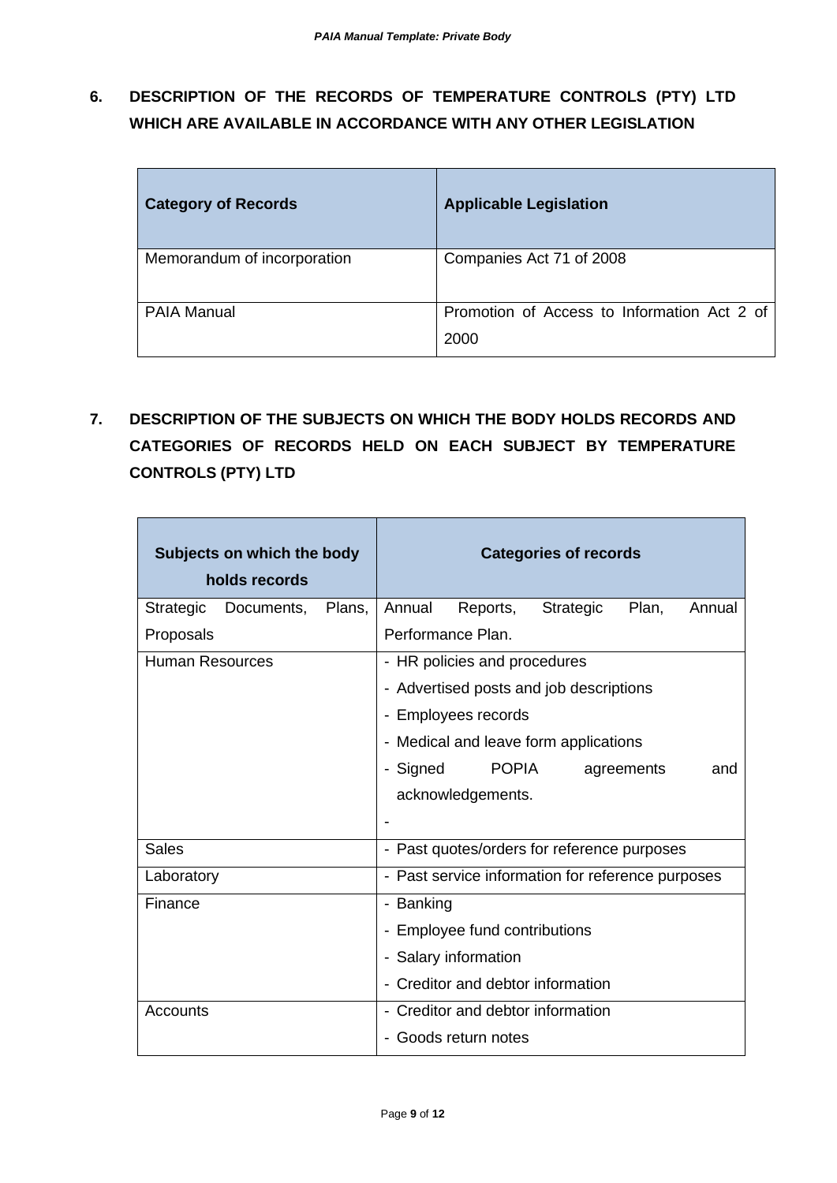**6. DESCRIPTION OF THE RECORDS OF TEMPERATURE CONTROLS (PTY) LTD WHICH ARE AVAILABLE IN ACCORDANCE WITH ANY OTHER LEGISLATION**

| <b>Category of Records</b>  | <b>Applicable Legislation</b>                       |
|-----------------------------|-----------------------------------------------------|
| Memorandum of incorporation | Companies Act 71 of 2008                            |
| <b>PAIA Manual</b>          | Promotion of Access to Information Act 2 of<br>2000 |

**7. DESCRIPTION OF THE SUBJECTS ON WHICH THE BODY HOLDS RECORDS AND CATEGORIES OF RECORDS HELD ON EACH SUBJECT BY TEMPERATURE CONTROLS (PTY) LTD**

| Subjects on which the body<br>holds records | <b>Categories of records</b>                       |
|---------------------------------------------|----------------------------------------------------|
| Strategic<br>Plans,<br>Documents,           | Plan,<br>Annual<br>Reports,<br>Strategic<br>Annual |
| Proposals                                   | Performance Plan.                                  |
| <b>Human Resources</b>                      | - HR policies and procedures                       |
|                                             | - Advertised posts and job descriptions            |
|                                             | - Employees records                                |
|                                             | - Medical and leave form applications              |
|                                             | <b>POPIA</b><br>- Signed<br>agreements<br>and      |
|                                             | acknowledgements.                                  |
|                                             |                                                    |
| <b>Sales</b>                                | - Past quotes/orders for reference purposes        |
| Laboratory                                  | - Past service information for reference purposes  |
| Finance                                     | - Banking                                          |
|                                             | - Employee fund contributions                      |
|                                             | - Salary information                               |
|                                             | - Creditor and debtor information                  |
| Accounts                                    | - Creditor and debtor information                  |
|                                             | Goods return notes                                 |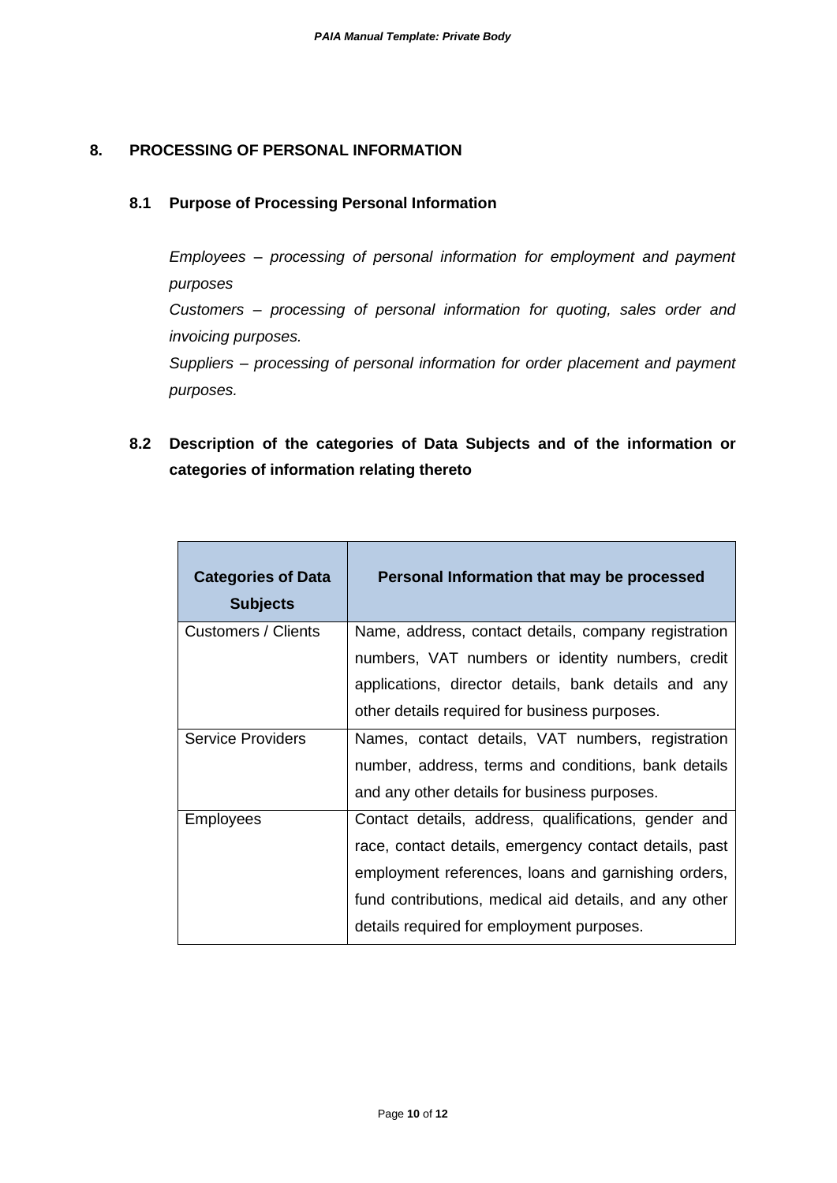#### **8. PROCESSING OF PERSONAL INFORMATION**

#### **8.1 Purpose of Processing Personal Information**

*Employees – processing of personal information for employment and payment purposes*

*Customers – processing of personal information for quoting, sales order and invoicing purposes.*

*Suppliers – processing of personal information for order placement and payment purposes.*

**8.2 Description of the categories of Data Subjects and of the information or categories of information relating thereto**

| <b>Categories of Data</b><br><b>Subjects</b> | Personal Information that may be processed             |
|----------------------------------------------|--------------------------------------------------------|
| <b>Customers / Clients</b>                   | Name, address, contact details, company registration   |
|                                              | numbers, VAT numbers or identity numbers, credit       |
|                                              | applications, director details, bank details and any   |
|                                              | other details required for business purposes.          |
| <b>Service Providers</b>                     | Names, contact details, VAT numbers, registration      |
|                                              | number, address, terms and conditions, bank details    |
|                                              | and any other details for business purposes.           |
| <b>Employees</b>                             | Contact details, address, qualifications, gender and   |
|                                              | race, contact details, emergency contact details, past |
|                                              | employment references, loans and garnishing orders,    |
|                                              | fund contributions, medical aid details, and any other |
|                                              | details required for employment purposes.              |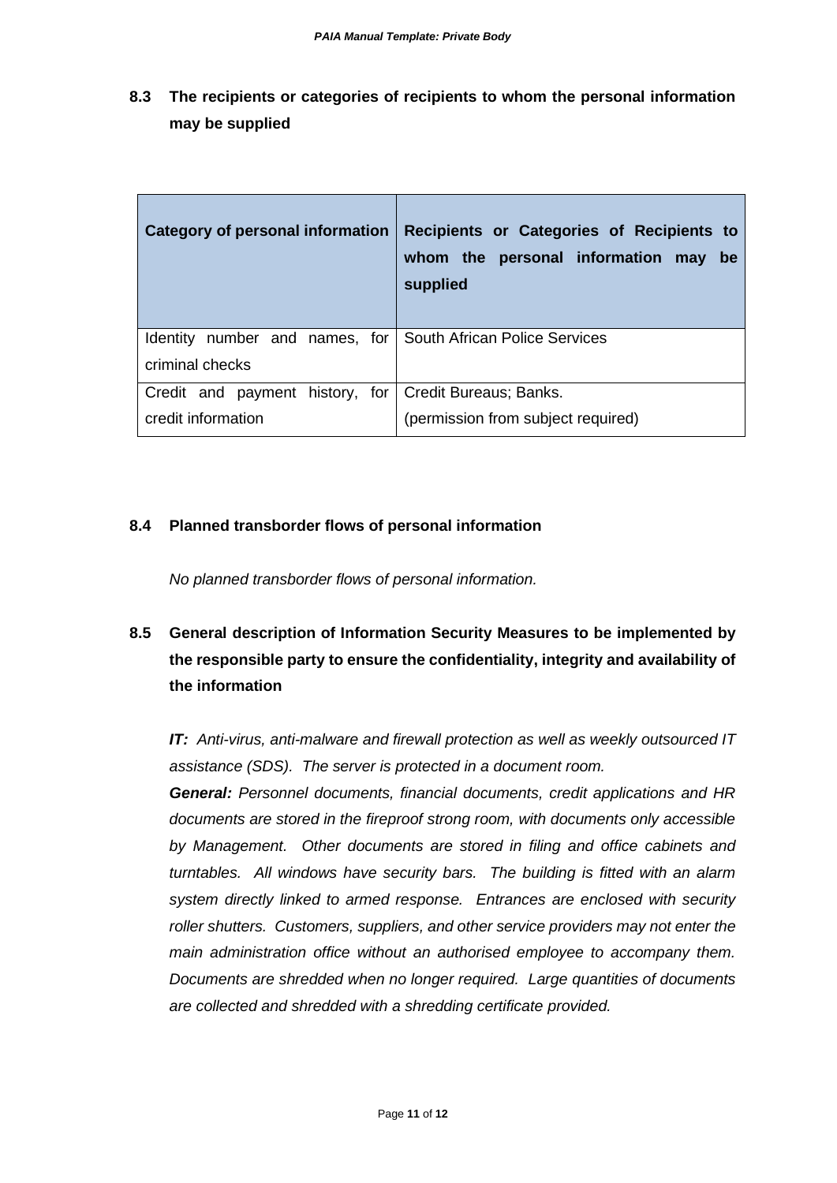**8.3 The recipients or categories of recipients to whom the personal information may be supplied**

| <b>Category of personal information</b>                                      | Recipients or Categories of Recipients to<br>whom the personal information may<br><b>be</b><br>supplied |
|------------------------------------------------------------------------------|---------------------------------------------------------------------------------------------------------|
| Identity number and names, for<br>criminal checks                            | <b>South African Police Services</b>                                                                    |
| Credit and payment history, for Credit Bureaus; Banks.<br>credit information | (permission from subject required)                                                                      |

#### **8.4 Planned transborder flows of personal information**

*No planned transborder flows of personal information.* 

## **8.5 General description of Information Security Measures to be implemented by the responsible party to ensure the confidentiality, integrity and availability of the information**

*IT: Anti-virus, anti-malware and firewall protection as well as weekly outsourced IT assistance (SDS). The server is protected in a document room.*

*General: Personnel documents, financial documents, credit applications and HR documents are stored in the fireproof strong room, with documents only accessible by Management. Other documents are stored in filing and office cabinets and turntables. All windows have security bars. The building is fitted with an alarm system directly linked to armed response. Entrances are enclosed with security roller shutters. Customers, suppliers, and other service providers may not enter the main administration office without an authorised employee to accompany them. Documents are shredded when no longer required. Large quantities of documents are collected and shredded with a shredding certificate provided.*